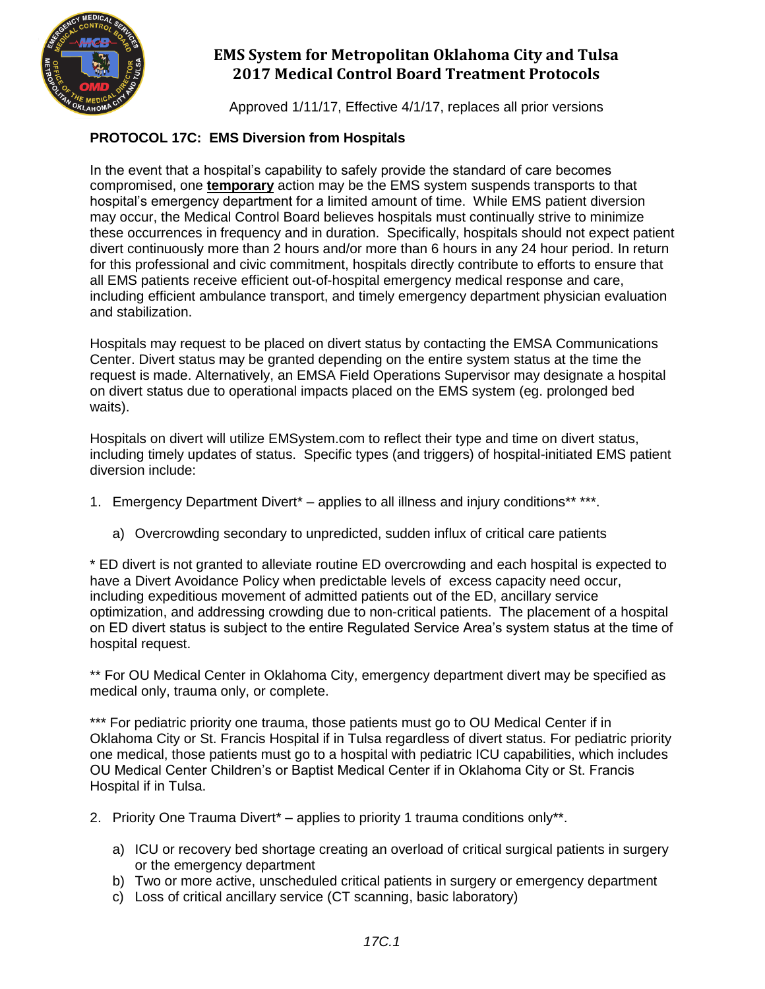

Approved 1/11/17, Effective 4/1/17, replaces all prior versions

#### **PROTOCOL 17C: EMS Diversion from Hospitals**

In the event that a hospital's capability to safely provide the standard of care becomes compromised, one **temporary** action may be the EMS system suspends transports to that hospital's emergency department for a limited amount of time. While EMS patient diversion may occur, the Medical Control Board believes hospitals must continually strive to minimize these occurrences in frequency and in duration. Specifically, hospitals should not expect patient divert continuously more than 2 hours and/or more than 6 hours in any 24 hour period. In return for this professional and civic commitment, hospitals directly contribute to efforts to ensure that all EMS patients receive efficient out-of-hospital emergency medical response and care, including efficient ambulance transport, and timely emergency department physician evaluation and stabilization.

Hospitals may request to be placed on divert status by contacting the EMSA Communications Center. Divert status may be granted depending on the entire system status at the time the request is made. Alternatively, an EMSA Field Operations Supervisor may designate a hospital on divert status due to operational impacts placed on the EMS system (eg. prolonged bed waits).

Hospitals on divert will utilize EMSystem.com to reflect their type and time on divert status, including timely updates of status. Specific types (and triggers) of hospital-initiated EMS patient diversion include:

- 1. Emergency Department Divert<sup>\*</sup> applies to all illness and injury conditions<sup>\*\*</sup> \*\*\*.
	- a) Overcrowding secondary to unpredicted, sudden influx of critical care patients

\* ED divert is not granted to alleviate routine ED overcrowding and each hospital is expected to have a Divert Avoidance Policy when predictable levels of excess capacity need occur, including expeditious movement of admitted patients out of the ED, ancillary service optimization, and addressing crowding due to non-critical patients. The placement of a hospital on ED divert status is subject to the entire Regulated Service Area's system status at the time of hospital request.

\*\* For OU Medical Center in Oklahoma City, emergency department divert may be specified as medical only, trauma only, or complete.

\*\*\* For pediatric priority one trauma, those patients must go to OU Medical Center if in Oklahoma City or St. Francis Hospital if in Tulsa regardless of divert status. For pediatric priority one medical, those patients must go to a hospital with pediatric ICU capabilities, which includes OU Medical Center Children's or Baptist Medical Center if in Oklahoma City or St. Francis Hospital if in Tulsa.

- 2. Priority One Trauma Divert<sup>\*</sup> applies to priority 1 trauma conditions only\*\*.
	- a) ICU or recovery bed shortage creating an overload of critical surgical patients in surgery or the emergency department
	- b) Two or more active, unscheduled critical patients in surgery or emergency department
	- c) Loss of critical ancillary service (CT scanning, basic laboratory)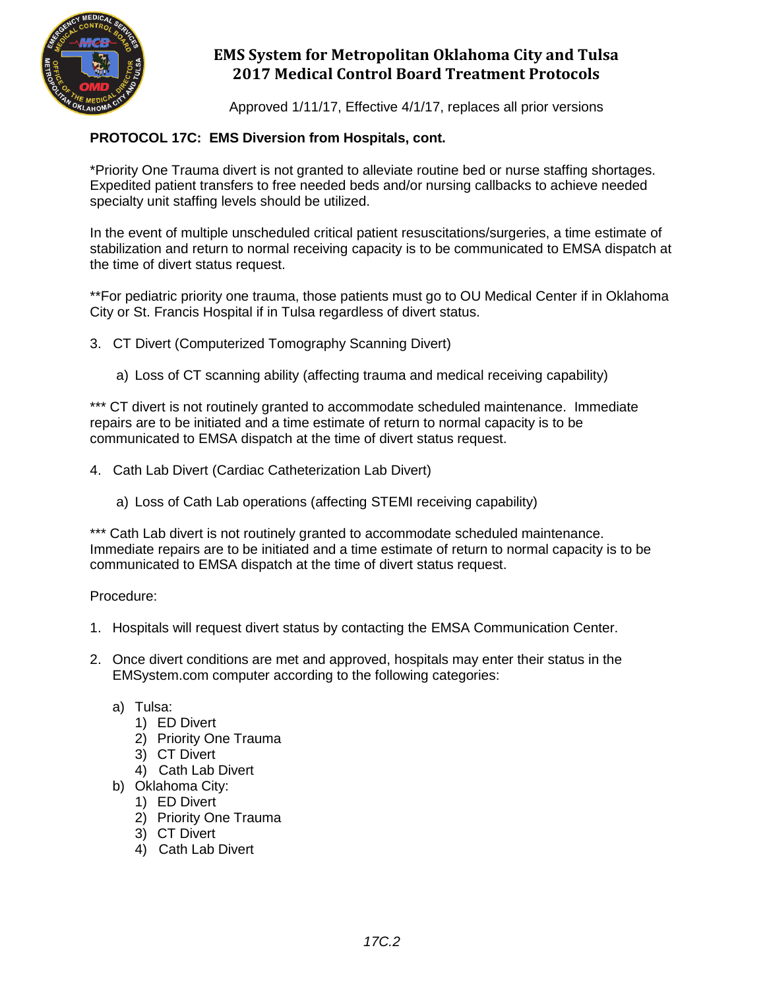

Approved 1/11/17, Effective 4/1/17, replaces all prior versions

#### **PROTOCOL 17C: EMS Diversion from Hospitals, cont.**

\*Priority One Trauma divert is not granted to alleviate routine bed or nurse staffing shortages. Expedited patient transfers to free needed beds and/or nursing callbacks to achieve needed specialty unit staffing levels should be utilized.

In the event of multiple unscheduled critical patient resuscitations/surgeries, a time estimate of stabilization and return to normal receiving capacity is to be communicated to EMSA dispatch at the time of divert status request.

\*\*For pediatric priority one trauma, those patients must go to OU Medical Center if in Oklahoma City or St. Francis Hospital if in Tulsa regardless of divert status.

3. CT Divert (Computerized Tomography Scanning Divert)

a) Loss of CT scanning ability (affecting trauma and medical receiving capability)

\*\*\* CT divert is not routinely granted to accommodate scheduled maintenance. Immediate repairs are to be initiated and a time estimate of return to normal capacity is to be communicated to EMSA dispatch at the time of divert status request.

- 4. Cath Lab Divert (Cardiac Catheterization Lab Divert)
	- a) Loss of Cath Lab operations (affecting STEMI receiving capability)

\*\*\* Cath Lab divert is not routinely granted to accommodate scheduled maintenance. Immediate repairs are to be initiated and a time estimate of return to normal capacity is to be communicated to EMSA dispatch at the time of divert status request.

Procedure:

- 1. Hospitals will request divert status by contacting the EMSA Communication Center.
- 2. Once divert conditions are met and approved, hospitals may enter their status in the EMSystem.com computer according to the following categories:
	- a) Tulsa:
		- 1) ED Divert
		- 2) Priority One Trauma
		- 3) CT Divert
		- 4) Cath Lab Divert
	- b) Oklahoma City:
		- 1) ED Divert
		- 2) Priority One Trauma
		- 3) CT Divert
		- 4) Cath Lab Divert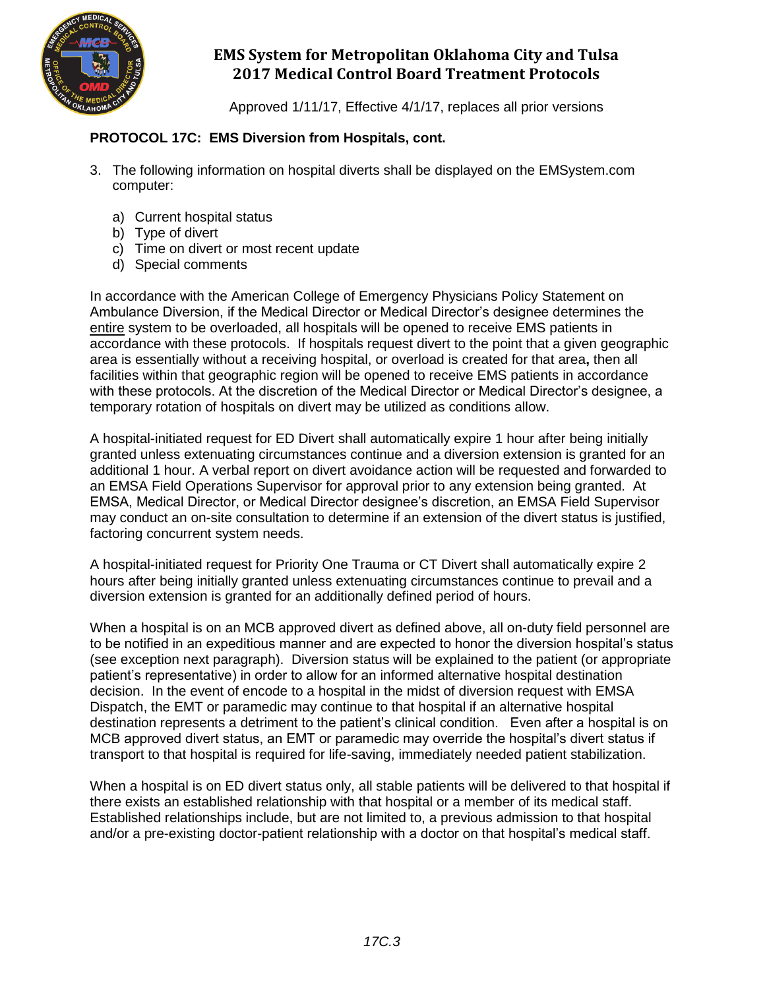

Approved 1/11/17, Effective 4/1/17, replaces all prior versions

#### **PROTOCOL 17C: EMS Diversion from Hospitals, cont.**

- 3. The following information on hospital diverts shall be displayed on the EMSystem.com computer:
	- a) Current hospital status
	- b) Type of divert
	- c) Time on divert or most recent update
	- d) Special comments

In accordance with the American College of Emergency Physicians Policy Statement on Ambulance Diversion, if the Medical Director or Medical Director's designee determines the entire system to be overloaded, all hospitals will be opened to receive EMS patients in accordance with these protocols. If hospitals request divert to the point that a given geographic area is essentially without a receiving hospital, or overload is created for that area**,** then all facilities within that geographic region will be opened to receive EMS patients in accordance with these protocols. At the discretion of the Medical Director or Medical Director's designee, a temporary rotation of hospitals on divert may be utilized as conditions allow.

A hospital-initiated request for ED Divert shall automatically expire 1 hour after being initially granted unless extenuating circumstances continue and a diversion extension is granted for an additional 1 hour. A verbal report on divert avoidance action will be requested and forwarded to an EMSA Field Operations Supervisor for approval prior to any extension being granted. At EMSA, Medical Director, or Medical Director designee's discretion, an EMSA Field Supervisor may conduct an on-site consultation to determine if an extension of the divert status is justified, factoring concurrent system needs.

A hospital-initiated request for Priority One Trauma or CT Divert shall automatically expire 2 hours after being initially granted unless extenuating circumstances continue to prevail and a diversion extension is granted for an additionally defined period of hours.

When a hospital is on an MCB approved divert as defined above, all on-duty field personnel are to be notified in an expeditious manner and are expected to honor the diversion hospital's status (see exception next paragraph). Diversion status will be explained to the patient (or appropriate patient's representative) in order to allow for an informed alternative hospital destination decision. In the event of encode to a hospital in the midst of diversion request with EMSA Dispatch, the EMT or paramedic may continue to that hospital if an alternative hospital destination represents a detriment to the patient's clinical condition. Even after a hospital is on MCB approved divert status, an EMT or paramedic may override the hospital's divert status if transport to that hospital is required for life-saving, immediately needed patient stabilization.

When a hospital is on ED divert status only, all stable patients will be delivered to that hospital if there exists an established relationship with that hospital or a member of its medical staff. Established relationships include, but are not limited to, a previous admission to that hospital and/or a pre-existing doctor-patient relationship with a doctor on that hospital's medical staff.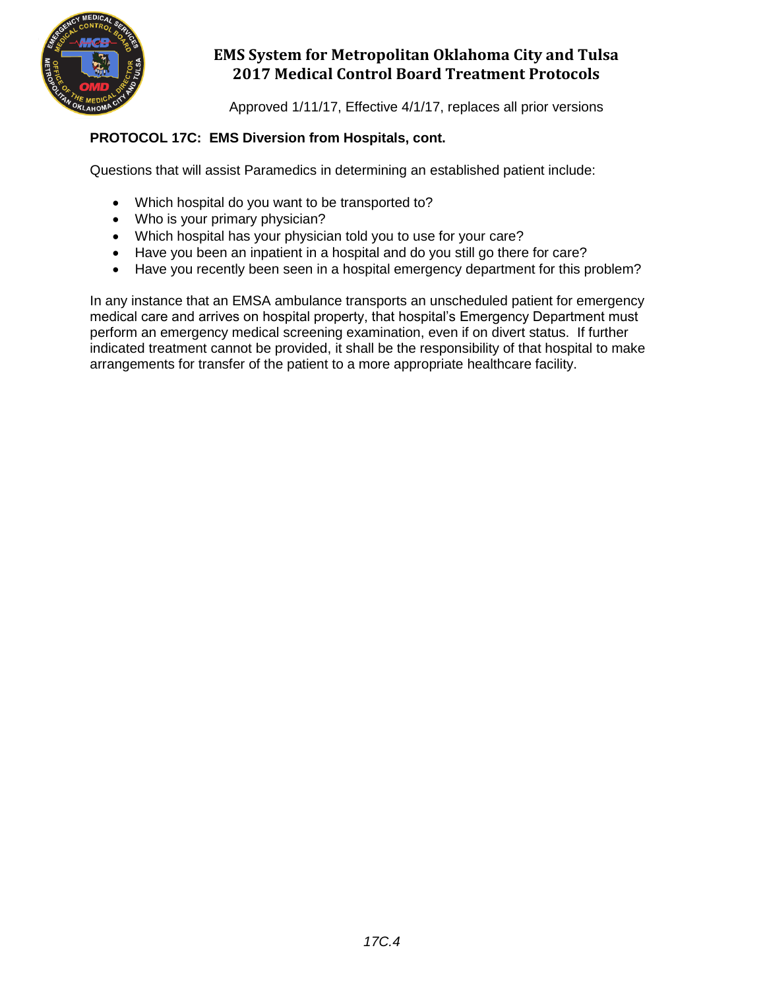

Approved 1/11/17, Effective 4/1/17, replaces all prior versions

#### **PROTOCOL 17C: EMS Diversion from Hospitals, cont.**

Questions that will assist Paramedics in determining an established patient include:

- Which hospital do you want to be transported to?
- Who is your primary physician?
- Which hospital has your physician told you to use for your care?
- Have you been an inpatient in a hospital and do you still go there for care?
- Have you recently been seen in a hospital emergency department for this problem?

In any instance that an EMSA ambulance transports an unscheduled patient for emergency medical care and arrives on hospital property, that hospital's Emergency Department must perform an emergency medical screening examination, even if on divert status. If further indicated treatment cannot be provided, it shall be the responsibility of that hospital to make arrangements for transfer of the patient to a more appropriate healthcare facility.